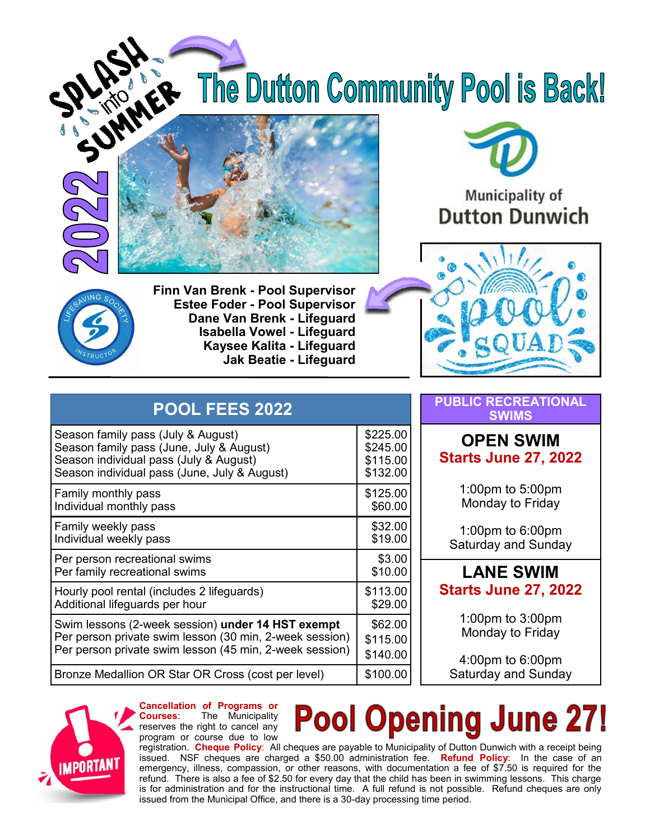The Dutton Community Pool is Back!





# **Municipality of Dutton Dunwich**



**Finn Van Brenk - Pool Supervisor Estee Foder - Pool Supervisor Dane Van Brenk - Lifeguard Isabella Vowel - Lifeguard Kaysee Kalita - Lifeguard Jak Beatie - Lifeguard**



| <b>POOL FEES 2022</b>                                   |          |
|---------------------------------------------------------|----------|
| Season family pass (July & August)                      | \$225.00 |
| Season family pass (June, July & August)                | \$245.00 |
| Season individual pass (July & August)                  | \$115.00 |
| Season individual pass (June, July & August)            | \$132.00 |
| Family monthly pass                                     | \$125.00 |
| Individual monthly pass                                 | \$60.00  |
| Family weekly pass                                      | \$32.00  |
| Individual weekly pass                                  | \$19.00  |
| Per person recreational swims                           | \$3.00   |
| Per family recreational swims                           | \$10.00  |
| Hourly pool rental (includes 2 lifeguards)              | \$113.00 |
| Additional lifeguards per hour                          | \$29.00  |
| Swim lessons (2-week session) under 14 HST exempt       | \$62.00  |
| Per person private swim lesson (30 min, 2-week session) | \$115.00 |
| Per person private swim lesson (45 min, 2-week session) | \$140.00 |
| Bronze Medallion OR Star OR Cross (cost per level)      | \$100.00 |

#### **PUBLIC RECREATIONAL SWIMS**

#### **OPEN SWIM Starts June 27, 2022**

1:00pm to 5:00pm Monday to Friday

1:00pm to 6:00pm Saturday and Sunday

### **LANE SWIM Starts June 27, 2022**

1:00pm to 3:00pm Monday to Friday

4:00pm to 6:00pm Saturday and Sunday



**Cancellation of Programs or Courses**: The Municipality reserves the right to cancel any program or course due to low

# **Pool Opening June 27!**

registration. **Cheque Policy**: All cheques are payable to Municipality of Dutton Dunwich with a receipt being issued. NSF cheques are charged a \$50.00 administration fee. **Refund Policy**: In the case of an emergency, illness, compassion, or other reasons, with documentation a fee of \$7.50 is required for the refund. There is also a fee of \$2.50 for every day that the child has been in swimming lessons. This charge is for administration and for the instructional time. A full refund is not possible. Refund cheques are only issued from the Municipal Office, and there is a 30-day processing time period.